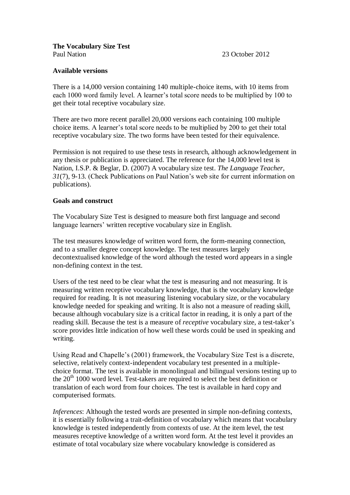## **Available versions**

There is a 14,000 version containing 140 multiple-choice items, with 10 items from each 1000 word family level. A learner's total score needs to be multiplied by 100 to get their total receptive vocabulary size.

There are two more recent parallel 20,000 versions each containing 100 multiple choice items. A learner's total score needs to be multiplied by 200 to get their total receptive vocabulary size. The two forms have been tested for their equivalence.

Permission is not required to use these tests in research, although acknowledgement in any thesis or publication is appreciated. The reference for the 14,000 level test is Nation, I.S.P. & Beglar, D. (2007) A vocabulary size test. *The Language Teacher, 31*(7), 9-13. (Check Publications on Paul Nation's web site for current information on publications).

## **Goals and construct**

The Vocabulary Size Test is designed to measure both first language and second language learners' written receptive vocabulary size in English.

The test measures knowledge of written word form, the form-meaning connection, and to a smaller degree concept knowledge. The test measures largely decontextualised knowledge of the word although the tested word appears in a single non-defining context in the test.

Users of the test need to be clear what the test is measuring and not measuring. It is measuring written receptive vocabulary knowledge, that is the vocabulary knowledge required for reading. It is not measuring listening vocabulary size, or the vocabulary knowledge needed for speaking and writing. It is also not a measure of reading skill, because although vocabulary size is a critical factor in reading, it is only a part of the reading skill. Because the test is a measure of *receptive* vocabulary size, a test-taker's score provides little indication of how well these words could be used in speaking and writing.

Using Read and Chapelle's (2001) framework, the Vocabulary Size Test is a discrete, selective, relatively context-independent vocabulary test presented in a multiplechoice format. The test is available in monolingual and bilingual versions testing up to the  $20<sup>th</sup> 1000$  word level. Test-takers are required to select the best definition or translation of each word from four choices. The test is available in hard copy and computerised formats.

*Inferences*: Although the tested words are presented in simple non-defining contexts, it is essentially following a trait-definition of vocabulary which means that vocabulary knowledge is tested independently from contexts of use. At the item level, the test measures receptive knowledge of a written word form. At the test level it provides an estimate of total vocabulary size where vocabulary knowledge is considered as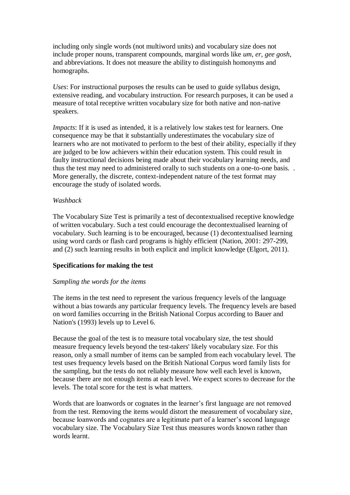including only single words (not multiword units) and vocabulary size does not include proper nouns, transparent compounds, marginal words like *um, er, gee gosh,*  and abbreviations. It does not measure the ability to distinguish homonyms and homographs.

*Uses*: For instructional purposes the results can be used to guide syllabus design, extensive reading, and vocabulary instruction. For research purposes, it can be used a measure of total receptive written vocabulary size for both native and non-native speakers.

*Impacts*: If it is used as intended, it is a relatively low stakes test for learners. One consequence may be that it substantially underestimates the vocabulary size of learners who are not motivated to perform to the best of their ability, especially if they are judged to be low achievers within their education system. This could result in faulty instructional decisions being made about their vocabulary learning needs, and thus the test may need to administered orally to such students on a one-to-one basis. . More generally, the discrete, context-independent nature of the test format may encourage the study of isolated words.

## *Washback*

The Vocabulary Size Test is primarily a test of decontextualised receptive knowledge of written vocabulary. Such a test could encourage the decontextualised learning of vocabulary. Such learning is to be encouraged, because (1) decontextualised learning using word cards or flash card programs is highly efficient (Nation, 2001: 297-299, and (2) such learning results in both explicit and implicit knowledge (Elgort, 2011).

### **Specifications for making the test**

### *Sampling the words for the items*

The items in the test need to represent the various frequency levels of the language without a bias towards any particular frequency levels. The frequency levels are based on word families occurring in the British National Corpus according to Bauer and Nation's (1993) levels up to Level 6.

Because the goal of the test is to measure total vocabulary size, the test should measure frequency levels beyond the test-takers' likely vocabulary size. For this reason, only a small number of items can be sampled from each vocabulary level. The test uses frequency levels based on the British National Corpus word family lists for the sampling, but the tests do not reliably measure how well each level is known, because there are not enough items at each level. We expect scores to decrease for the levels. The total score for the test is what matters.

Words that are loanwords or cognates in the learner's first language are not removed from the test. Removing the items would distort the measurement of vocabulary size, because loanwords and cognates are a legitimate part of a learner's second language vocabulary size. The Vocabulary Size Test thus measures words known rather than words learnt.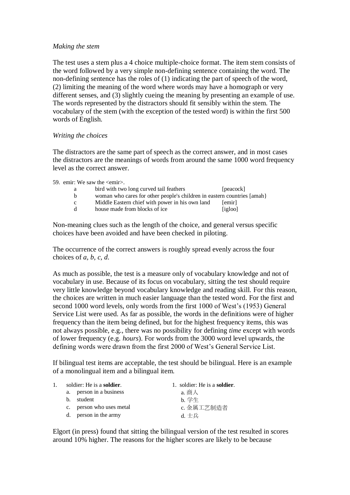#### *Making the stem*

The test uses a stem plus a 4 choice multiple-choice format. The item stem consists of the word followed by a very simple non-defining sentence containing the word. The non-defining sentence has the roles of (1) indicating the part of speech of the word, (2) limiting the meaning of the word where words may have a homograph or very different senses, and (3) slightly cueing the meaning by presenting an example of use. The words represented by the distractors should fit sensibly within the stem. The vocabulary of the stem (with the exception of the tested word) is within the first 500 words of English.

#### *Writing the choices*

The distractors are the same part of speech as the correct answer, and in most cases the distractors are the meanings of words from around the same 1000 word frequency level as the correct answer.

59. emir: We saw the <emir>.

| a            | bird with two long curved tail feathers                                 | [peacock] |
|--------------|-------------------------------------------------------------------------|-----------|
| b.           | woman who cares for other people's children in eastern countries [amah] |           |
| $\mathbf{c}$ | Middle Eastern chief with power in his own land                         | [emir]    |
| d.           | house made from blocks of ice                                           | [igloo]   |

Non-meaning clues such as the length of the choice, and general versus specific choices have been avoided and have been checked in piloting.

The occurrence of the correct answers is roughly spread evenly across the four choices of *a, b, c, d*.

As much as possible, the test is a measure only of vocabulary knowledge and not of vocabulary in use. Because of its focus on vocabulary, sitting the test should require very little knowledge beyond vocabulary knowledge and reading skill. For this reason, the choices are written in much easier language than the tested word. For the first and second 1000 word levels, only words from the first 1000 of West's (1953) General Service List were used. As far as possible, the words in the definitions were of higher frequency than the item being defined, but for the highest frequency items, this was not always possible, e.g., there was no possibility for defining *time* except with words of lower frequency (e.g. *hours*). For words from the 3000 word level upwards, the defining words were drawn from the first 2000 of West's General Service List.

If bilingual test items are acceptable, the test should be bilingual. Here is an example of a monolingual item and a bilingual item.

| 1. | soldier: He is a <b>soldier</b> . | 1. soldier: He is a <b>soldier</b> . |
|----|-----------------------------------|--------------------------------------|
|    | a. person in a business           | a. 商人                                |
|    | student<br>h.                     | b. 学生                                |
|    | c. person who uses metal          | c. 金属工艺制造者                           |
|    | d. person in the army             | d. 士兵                                |

Elgort (in press) found that sitting the bilingual version of the test resulted in scores around 10% higher. The reasons for the higher scores are likely to be because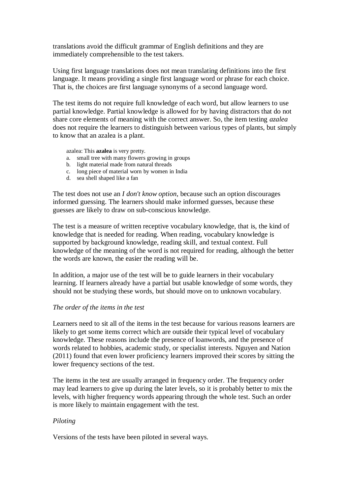translations avoid the difficult grammar of English definitions and they are immediately comprehensible to the test takers.

Using first language translations does not mean translating definitions into the first language. It means providing a single first language word or phrase for each choice. That is, the choices are first language synonyms of a second language word.

The test items do not require full knowledge of each word, but allow learners to use partial knowledge. Partial knowledge is allowed for by having distractors that do not share core elements of meaning with the correct answer. So, the item testing *azalea*  does not require the learners to distinguish between various types of plants, but simply to know that an azalea is a plant.

azalea: This **azalea** is very pretty.

- a. small tree with many flowers growing in groups
- b. light material made from natural threads
- c. long piece of material worn by women in India
- d. sea shell shaped like a fan

The test does not use an *I don't know option*, because such an option discourages informed guessing. The learners should make informed guesses, because these guesses are likely to draw on sub-conscious knowledge.

The test is a measure of written receptive vocabulary knowledge, that is, the kind of knowledge that is needed for reading. When reading, vocabulary knowledge is supported by background knowledge, reading skill, and textual context. Full knowledge of the meaning of the word is not required for reading, although the better the words are known, the easier the reading will be.

In addition, a major use of the test will be to guide learners in their vocabulary learning. If learners already have a partial but usable knowledge of some words, they should not be studying these words, but should move on to unknown vocabulary.

### *The order of the items in the test*

Learners need to sit all of the items in the test because for various reasons learners are likely to get some items correct which are outside their typical level of vocabulary knowledge. These reasons include the presence of loanwords, and the presence of words related to hobbies, academic study, or specialist interests. Nguyen and Nation (2011) found that even lower proficiency learners improved their scores by sitting the lower frequency sections of the test.

The items in the test are usually arranged in frequency order. The frequency order may lead learners to give up during the later levels, so it is probably better to mix the levels, with higher frequency words appearing through the whole test. Such an order is more likely to maintain engagement with the test.

# *Piloting*

Versions of the tests have been piloted in several ways.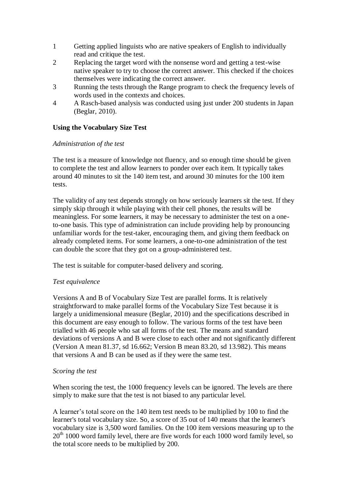- 1 Getting applied linguists who are native speakers of English to individually read and critique the test.
- 2 Replacing the target word with the nonsense word and getting a test-wise native speaker to try to choose the correct answer. This checked if the choices themselves were indicating the correct answer.
- 3 Running the tests through the Range program to check the frequency levels of words used in the contexts and choices.
- 4 A Rasch-based analysis was conducted using just under 200 students in Japan (Beglar, 2010).

# **Using the Vocabulary Size Test**

## *Administration of the test*

The test is a measure of knowledge not fluency, and so enough time should be given to complete the test and allow learners to ponder over each item. It typically takes around 40 minutes to sit the 140 item test, and around 30 minutes for the 100 item tests.

The validity of any test depends strongly on how seriously learners sit the test. If they simply skip through it while playing with their cell phones, the results will be meaningless. For some learners, it may be necessary to administer the test on a oneto-one basis. This type of administration can include providing help by pronouncing unfamiliar words for the test-taker, encouraging them, and giving them feedback on already completed items. For some learners, a one-to-one administration of the test can double the score that they got on a group-administered test.

The test is suitable for computer-based delivery and scoring.

# *Test equivalence*

Versions A and B of Vocabulary Size Test are parallel forms. It is relatively straightforward to make parallel forms of the Vocabulary Size Test because it is largely a unidimensional measure (Beglar, 2010) and the specifications described in this document are easy enough to follow. The various forms of the test have been trialled with 46 people who sat all forms of the test. The means and standard deviations of versions A and B were close to each other and not significantly different (Version A mean 81.37, sd 16.662; Version B mean 83.20, sd 13.982). This means that versions A and B can be used as if they were the same test.

### *Scoring the test*

When scoring the test, the 1000 frequency levels can be ignored. The levels are there simply to make sure that the test is not biased to any particular level.

A learner's total score on the 140 item test needs to be multiplied by 100 to find the learner's total vocabulary size. So, a score of 35 out of 140 means that the learner's vocabulary size is 3,500 word families. On the 100 item versions measuring up to the  $20<sup>th</sup> 1000$  word family level, there are five words for each 1000 word family level, so the total score needs to be multiplied by 200.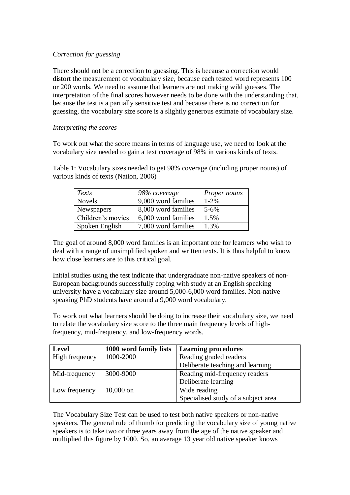## *Correction for guessing*

There should not be a correction to guessing. This is because a correction would distort the measurement of vocabulary size, because each tested word represents 100 or 200 words. We need to assume that learners are not making wild guesses. The interpretation of the final scores however needs to be done with the understanding that, because the test is a partially sensitive test and because there is no correction for guessing, the vocabulary size score is a slightly generous estimate of vocabulary size.

## *Interpreting the scores*

To work out what the score means in terms of language use, we need to look at the vocabulary size needed to gain a text coverage of 98% in various kinds of texts.

Table 1: Vocabulary sizes needed to get 98% coverage (including proper nouns) of various kinds of texts (Nation, 2006)

| Texts             | 98% coverage        | Proper nouns |
|-------------------|---------------------|--------------|
| <b>Novels</b>     | 9,000 word families | $1 - 2\%$    |
| Newspapers        | 8,000 word families | $5 - 6\%$    |
| Children's movies | 6,000 word families | 1.5%         |
| Spoken English    | 7,000 word families | 1.3%         |

The goal of around 8,000 word families is an important one for learners who wish to deal with a range of unsimplified spoken and written texts. It is thus helpful to know how close learners are to this critical goal.

Initial studies using the test indicate that undergraduate non-native speakers of non-European backgrounds successfully coping with study at an English speaking university have a vocabulary size around 5,000-6,000 word families. Non-native speaking PhD students have around a 9,000 word vocabulary.

To work out what learners should be doing to increase their vocabulary size, we need to relate the vocabulary size score to the three main frequency levels of highfrequency, mid-frequency, and low-frequency words.

| <b>Level</b>   | 1000 word family lists | <b>Learning procedures</b>          |
|----------------|------------------------|-------------------------------------|
| High frequency | 1000-2000              | Reading graded readers              |
|                |                        | Deliberate teaching and learning    |
| Mid-frequency  | 3000-9000              | Reading mid-frequency readers       |
|                |                        | Deliberate learning                 |
| Low frequency  | $10,000$ on            | Wide reading                        |
|                |                        | Specialised study of a subject area |

The Vocabulary Size Test can be used to test both native speakers or non-native speakers. The general rule of thumb for predicting the vocabulary size of young native speakers is to take two or three years away from the age of the native speaker and multiplied this figure by 1000. So, an average 13 year old native speaker knows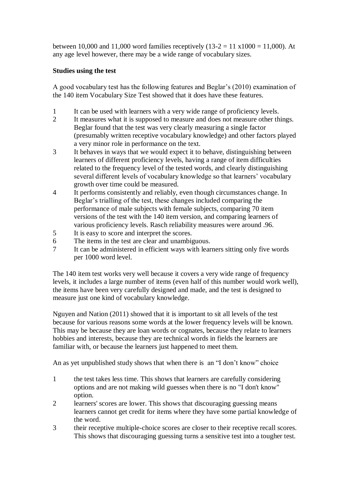between 10,000 and 11,000 word families receptively  $(13-2 = 11 \times 1000 = 11,000)$ . At any age level however, there may be a wide range of vocabulary sizes.

# **Studies using the test**

A good vocabulary test has the following features and Beglar's (2010) examination of the 140 item Vocabulary Size Test showed that it does have these features.

- 1 It can be used with learners with a very wide range of proficiency levels.
- 2 It measures what it is supposed to measure and does not measure other things. Beglar found that the test was very clearly measuring a single factor (presumably written receptive vocabulary knowledge) and other factors played a very minor role in performance on the text.
- 3 It behaves in ways that we would expect it to behave, distinguishing between learners of different proficiency levels, having a range of item difficulties related to the frequency level of the tested words, and clearly distinguishing several different levels of vocabulary knowledge so that learners' vocabulary growth over time could be measured.
- 4 It performs consistently and reliably, even though circumstances change. In Beglar's trialling of the test, these changes included comparing the performance of male subjects with female subjects, comparing 70 item versions of the test with the 140 item version, and comparing learners of various proficiency levels. Rasch reliability measures were around .96.
- 5 It is easy to score and interpret the scores.
- 6 The items in the test are clear and unambiguous.
- 7 It can be administered in efficient ways with learners sitting only five words per 1000 word level.

The 140 item test works very well because it covers a very wide range of frequency levels, it includes a large number of items (even half of this number would work well), the items have been very carefully designed and made, and the test is designed to measure just one kind of vocabulary knowledge.

Nguyen and Nation (2011) showed that it is important to sit all levels of the test because for various reasons some words at the lower frequency levels will be known. This may be because they are loan words or cognates, because they relate to learners hobbies and interests, because they are technical words in fields the learners are familiar with, or because the learners just happened to meet them.

An as yet unpublished study shows that when there is an "I don't know" choice

- 1 the test takes less time. This shows that learners are carefully considering options and are not making wild guesses when there is no "I don't know" option.
- 2 learners' scores are lower. This shows that discouraging guessing means learners cannot get credit for items where they have some partial knowledge of the word.
- 3 their receptive multiple-choice scores are closer to their receptive recall scores. This shows that discouraging guessing turns a sensitive test into a tougher test.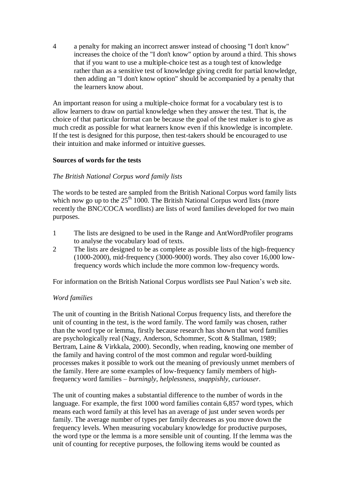4 a penalty for making an incorrect answer instead of choosing "I don't know" increases the choice of the "I don't know" option by around a third. This shows that if you want to use a multiple-choice test as a tough test of knowledge rather than as a sensitive test of knowledge giving credit for partial knowledge, then adding an "I don't know option" should be accompanied by a penalty that the learners know about.

An important reason for using a multiple-choice format for a vocabulary test is to allow learners to draw on partial knowledge when they answer the test. That is, the choice of that particular format can be because the goal of the test maker is to give as much credit as possible for what learners know even if this knowledge is incomplete. If the test is designed for this purpose, then test-takers should be encouraged to use their intuition and make informed or intuitive guesses.

### **Sources of words for the tests**

### *The British National Corpus word family lists*

The words to be tested are sampled from the British National Corpus word family lists which now go up to the  $25<sup>th</sup> 1000$ . The British National Corpus word lists (more recently the BNC/COCA wordlists) are lists of word families developed for two main purposes.

- 1 The lists are designed to be used in the Range and AntWordProfiler programs to analyse the vocabulary load of texts.
- 2 The lists are designed to be as complete as possible lists of the high-frequency (1000-2000), mid-frequency (3000-9000) words. They also cover 16,000 lowfrequency words which include the more common low-frequency words.

For information on the British National Corpus wordlists see Paul Nation's web site.

### *Word families*

The unit of counting in the British National Corpus frequency lists, and therefore the unit of counting in the test, is the word family. The word family was chosen, rather than the word type or lemma, firstly because research has shown that word families are psychologically real (Nagy, Anderson, Schommer, Scott & Stallman, 1989; Bertram, Laine & Virkkala, 2000). Secondly, when reading, knowing one member of the family and having control of the most common and regular word-building processes makes it possible to work out the meaning of previously unmet members of the family. Here are some examples of low-frequency family members of highfrequency word families – *burningly, helplessness, snappishly, curiouser*.

The unit of counting makes a substantial difference to the number of words in the language. For example, the first 1000 word families contain 6,857 word types, which means each word family at this level has an average of just under seven words per family. The average number of types per family decreases as you move down the frequency levels. When measuring vocabulary knowledge for productive purposes, the word type or the lemma is a more sensible unit of counting. If the lemma was the unit of counting for receptive purposes, the following items would be counted as